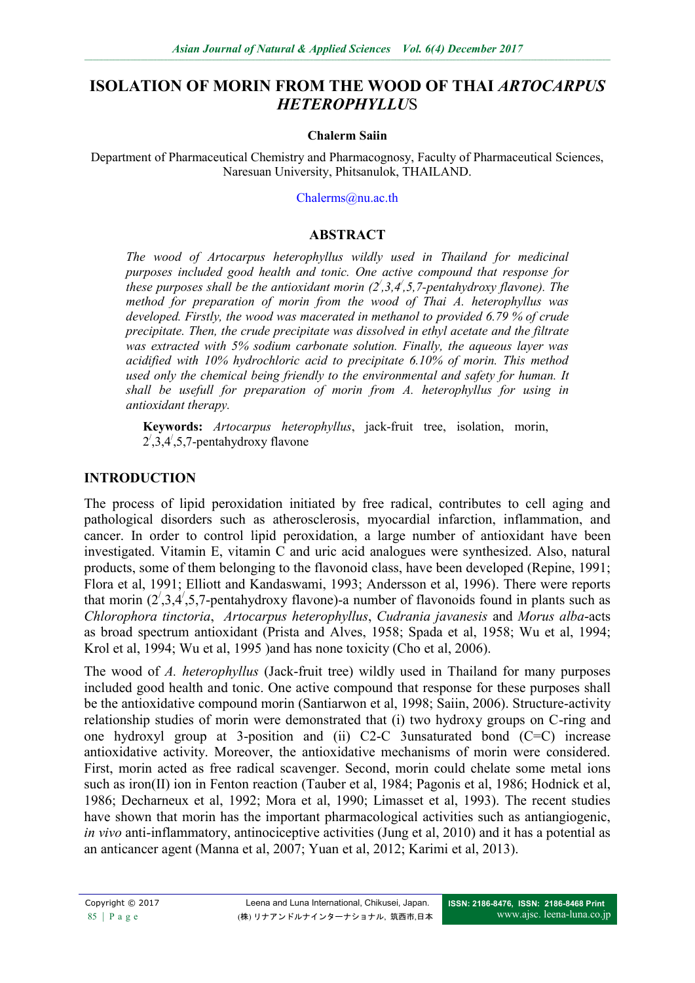# **ISOLATION OF MORIN FROM THE WOOD OF THAI** *ARTOCARPUS HETEROPHYLLU*S

#### **Chalerm Saiin**

Department of Pharmaceutical Chemistry and Pharmacognosy, Faculty of Pharmaceutical Sciences, Naresuan University, Phitsanulok, THAILAND.

#### [Chalerms@nu.ac.th](mailto:Chalerms@nu.ac.th)

#### **ABSTRACT**

*The wood of Artocarpus heterophyllus wildly used in Thailand for medicinal purposes included good health and tonic. One active compound that response for these purposes shall be the antioxidant morin (2/ ,3,4/ ,5,7-pentahydroxy flavone). The method for preparation of morin from the wood of Thai A. heterophyllus was developed. Firstly, the wood was macerated in methanol to provided 6.79 % of crude precipitate. Then, the crude precipitate was dissolved in ethyl acetate and the filtrate was extracted with 5% sodium carbonate solution. Finally, the aqueous layer was acidified with 10% hydrochloric acid to precipitate 6.10% of morin. This method used only the chemical being friendly to the environmental and safety for human. It shall be usefull for preparation of morin from A. heterophyllus for using in antioxidant therapy.*

**Keywords:** *Artocarpus heterophyllus*, jack-fruit tree, isolation, morin,  $2^{\prime}, 3, 4^{\prime}, 5, 7$ -pentahydroxy flavone

### **INTRODUCTION**

The process of lipid peroxidation initiated by free radical, contributes to cell aging and pathological disorders such as atherosclerosis, myocardial infarction, inflammation, and cancer. In order to control lipid peroxidation, a large number of antioxidant have been investigated. Vitamin E, vitamin C and uric acid analogues were synthesized. Also, natural products, some of them belonging to the flavonoid class, have been developed (Repine, 1991; Flora et al, 1991; Elliott and Kandaswami, 1993; Andersson et al, 1996). There were reports that morin  $(2^7,3,4^7,5,7)$ -pentahydroxy flavone)-a number of flavonoids found in plants such as *Chlorophora tinctoria*, *Artocarpus heterophyllus*, *Cudrania javanesis* and *Morus alba*-acts as broad spectrum antioxidant (Prista and Alves, 1958; Spada et al, 1958; Wu et al, 1994; Krol et al, 1994; Wu et al, 1995 )and has none toxicity (Cho et al, 2006).

The wood of *A. heterophyllus* (Jack-fruit tree) wildly used in Thailand for many purposes included good health and tonic. One active compound that response for these purposes shall be the antioxidative compound morin (Santiarwon et al, 1998; Saiin, 2006). Structure-activity relationship studies of morin were demonstrated that (i) two hydroxy groups on C-ring and one hydroxyl group at 3-position and (ii) C2-C 3unsaturated bond (C=C) increase antioxidative activity. Moreover, the antioxidative mechanisms of morin were considered. First, morin acted as free radical scavenger. Second, morin could chelate some metal ions such as iron(II) ion in Fenton reaction (Tauber et al, 1984; Pagonis et al, 1986; Hodnick et al, 1986; Decharneux et al, 1992; Mora et al, 1990; Limasset et al, 1993). The recent studies have shown that morin has the important pharmacological activities such as antiangiogenic, *in vivo* anti-inflammatory, antinociceptive activities (Jung et al, 2010) and it has a potential as an anticancer agent (Manna et al, 2007; Yuan et al, 2012; Karimi et al, 2013).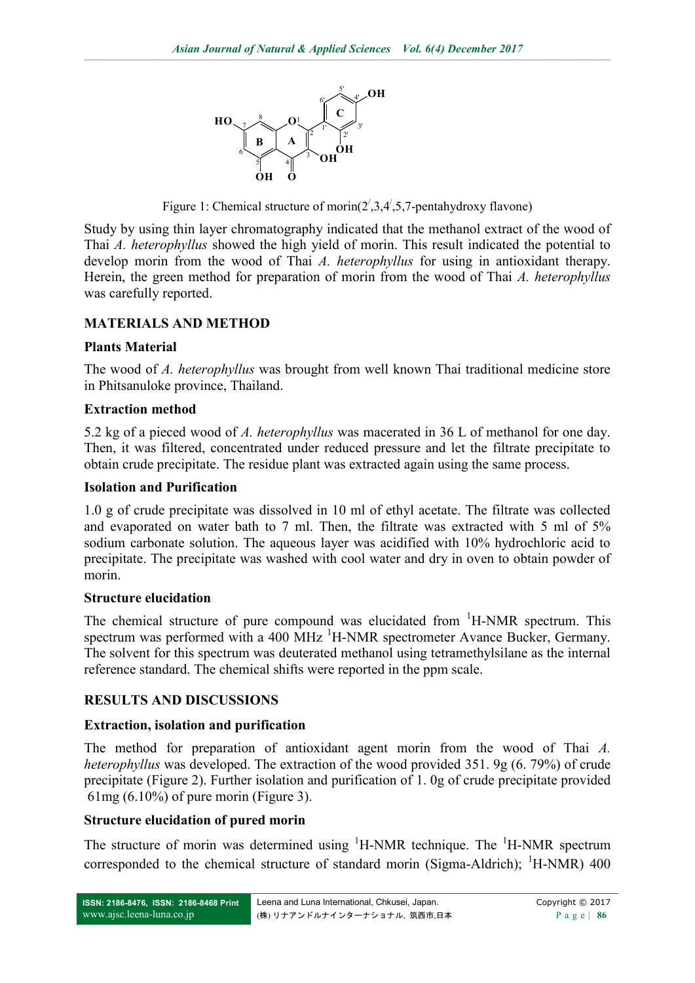

Figure 1: Chemical structure of morin( $2^2$ , 3, 4<sup> $\ell$ </sup>, 5, 7-pentahydroxy flavone)

Study by using thin layer chromatography indicated that the methanol extract of the wood of Thai *A. heterophyllus* showed the high yield of morin. This result indicated the potential to develop morin from the wood of Thai *A. heterophyllus* for using in antioxidant therapy. Herein, the green method for preparation of morin from the wood of Thai *A. heterophyllus* was carefully reported.

## **MATERIALS AND METHOD**

### **Plants Material**

The wood of *A. heterophyllus* was brought from well known Thai traditional medicine store in Phitsanuloke province, Thailand.

### **Extraction method**

5.2 kg of a pieced wood of *A. heterophyllus* was macerated in 36 L of methanol for one day. Then, it was filtered, concentrated under reduced pressure and let the filtrate precipitate to obtain crude precipitate. The residue plant was extracted again using the same process.

### **Isolation and Purification**

1.0 g of crude precipitate was dissolved in 10 ml of ethyl acetate. The filtrate was collected and evaporated on water bath to 7 ml. Then, the filtrate was extracted with 5 ml of 5% sodium carbonate solution. The aqueous layer was acidified with 10% hydrochloric acid to precipitate. The precipitate was washed with cool water and dry in oven to obtain powder of morin.

### **Structure elucidation**

The chemical structure of pure compound was elucidated from <sup>1</sup>H-NMR spectrum. This spectrum was performed with a 400 MHz  $^1$ H-NMR spectrometer Avance Bucker, Germany. The solvent for this spectrum was deuterated methanol using tetramethylsilane as the internal reference standard. The chemical shifts were reported in the ppm scale.

## **RESULTS AND DISCUSSIONS**

### **Extraction, isolation and purification**

The method for preparation of antioxidant agent morin from the wood of Thai *A. heterophyllus* was developed. The extraction of the wood provided 351. 9g (6. 79%) of crude precipitate (Figure 2). Further isolation and purification of 1. 0g of crude precipitate provided 61mg (6.10%) of pure morin (Figure 3).

### **Structure elucidation of pured morin**

The structure of morin was determined using  $H-MMR$  technique. The  $H-MMR$  spectrum corresponded to the chemical structure of standard morin (Sigma-Aldrich);  $^1$ H-NMR) 400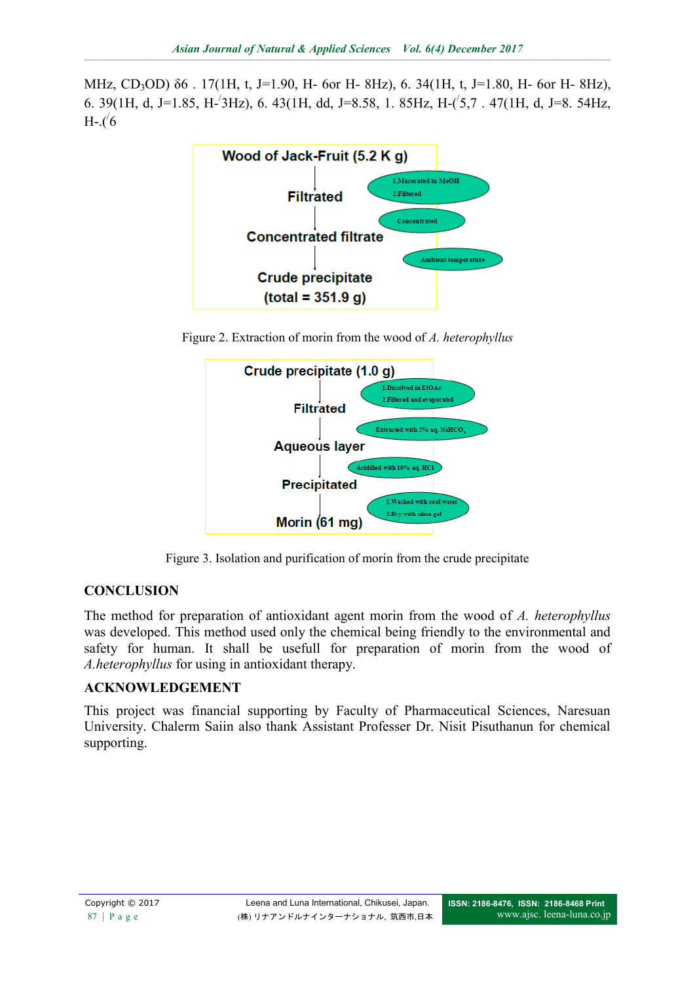MHz, CD<sub>3</sub>OD)  $\delta$ 6 . 17(1H, t, J=1.90, H- 6or H- 8Hz), 6. 34(1H, t, J=1.80, H- 6or H- 8Hz), 6. 39(1H, d, J=1.85, H- $\overline{3}$ Hz), 6. 43(1H, dd, J=8.58, 1. 85Hz, H- $\overline{5}$ , 7. 47(1H, d, J=8. 54Hz, H-.( $\sqrt{6}$ 



Figure 2. Extraction of morin from the wood of *A. heterophyllus*



Figure 3. Isolation and purification of morin from the crude precipitate

# **CONCLUSION**

The method for preparation of antioxidant agent morin from the wood of *A. heterophyllus* was developed. This method used only the chemical being friendly to the environmental and safety for human. It shall be usefull for preparation of morin from the wood of *A.heterophyllus* for using in antioxidant therapy.

## **ACKNOWLEDGEMENT**

This project was financial supporting by Faculty of Pharmaceutical Sciences, Naresuan University. Chalerm Saiin also thank Assistant Professer Dr. Nisit Pisuthanun for chemical supporting.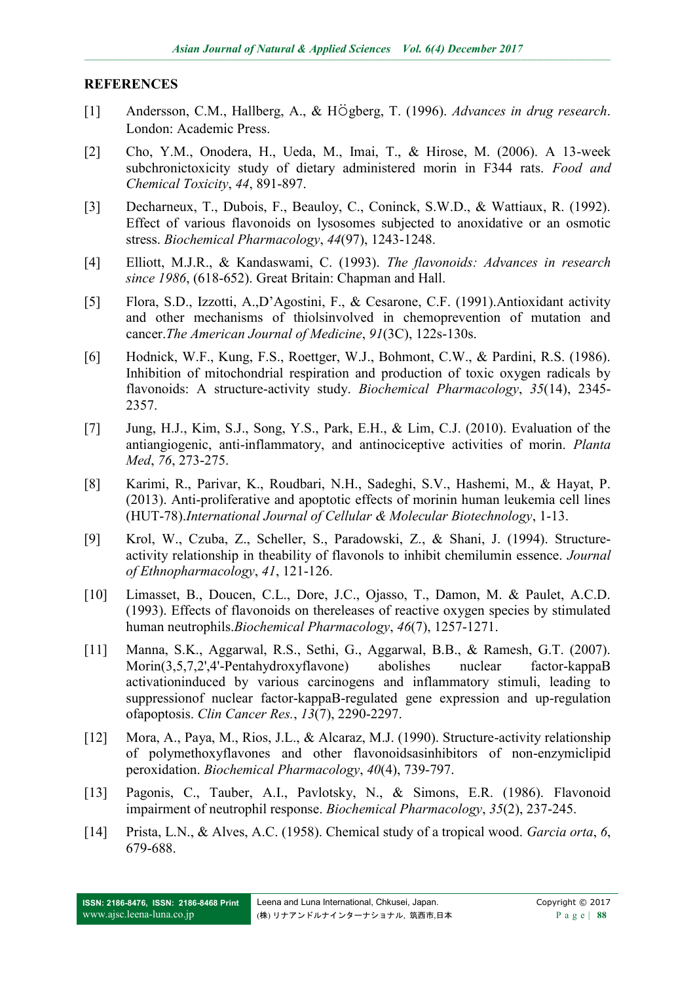### **REFERENCES**

- [1] Andersson, C.M., Hallberg, A., & Högberg, T. (1996). *Advances in drug research*. London: Academic Press.
- [2] Cho, Y.M., Onodera, H., Ueda, M., Imai, T., & Hirose, M. (2006). A 13-week subchronictoxicity study of dietary administered morin in F344 rats. *Food and Chemical Toxicity*, *44*, 891-897.
- [3] Decharneux, T., Dubois, F., Beauloy, C., Coninck, S.W.D., & Wattiaux, R. (1992). Effect of various flavonoids on lysosomes subjected to anoxidative or an osmotic stress. *Biochemical Pharmacology*, *44*(97), 1243-1248.
- [4] Elliott, M.J.R., & Kandaswami, C. (1993). *The flavonoids: Advances in research since 1986*, (618-652). Great Britain: Chapman and Hall.
- [5] Flora, S.D., Izzotti, A.,D'Agostini, F., & Cesarone, C.F. (1991).Antioxidant activity and other mechanisms of thiolsinvolved in chemoprevention of mutation and cancer.*The American Journal of Medicine*, *91*(3C), 122s-130s.
- [6] Hodnick, W.F., Kung, F.S., Roettger, W.J., Bohmont, C.W., & Pardini, R.S. (1986). Inhibition of mitochondrial respiration and production of toxic oxygen radicals by flavonoids: A structure-activity study. *Biochemical Pharmacology*, *35*(14), 2345- 2357.
- [7] Jung, H.J., Kim, S.J., Song, Y.S., Park, E.H., & Lim, C.J. (2010). Evaluation of the antiangiogenic, anti-inflammatory, and antinociceptive activities of morin. *Planta Med*, *76*, 273-275.
- [8] Karimi, R., Parivar, K., Roudbari, N.H., Sadeghi, S.V., Hashemi, M., & Hayat, P. (2013). Anti-proliferative and apoptotic effects of morinin human leukemia cell lines (HUT-78).*International Journal of Cellular & Molecular Biotechnology*, 1-13.
- [9] Krol, W., Czuba, Z., Scheller, S., Paradowski, Z., & Shani, J. (1994). Structureactivity relationship in theability of flavonols to inhibit chemilumin essence. *Journal of Ethnopharmacology*, *41*, 121-126.
- [10] Limasset, B., Doucen, C.L., Dore, J.C., Ojasso, T., Damon, M. & Paulet, A.C.D. (1993). Effects of flavonoids on thereleases of reactive oxygen species by stimulated human neutrophils.*Biochemical Pharmacology*, *46*(7), 1257-1271.
- [11] Manna, S.K., Aggarwal, R.S., Sethi, G., Aggarwal, B.B., & Ramesh, G.T. (2007). Morin(3,5,7,2',4'-Pentahydroxyflavone) abolishes nuclear factor-kappaB activationinduced by various carcinogens and inflammatory stimuli, leading to suppressionof nuclear factor-kappaB-regulated gene expression and up-regulation ofapoptosis. *Clin Cancer Res.*, *13*(7), 2290-2297.
- [12] Mora, A., Paya, M., Rios, J.L., & Alcaraz, M.J. (1990). Structure-activity relationship of polymethoxyflavones and other flavonoidsasinhibitors of non-enzymiclipid peroxidation. *Biochemical Pharmacology*, *40*(4), 739-797.
- [13] Pagonis, C., Tauber, A.I., Pavlotsky, N., & Simons, E.R. (1986). Flavonoid impairment of neutrophil response. *Biochemical Pharmacology*, *35*(2), 237-245.
- [14] Prista, L.N., & Alves, A.C. (1958). Chemical study of a tropical wood. *Garcia orta*, *6*, 679-688.